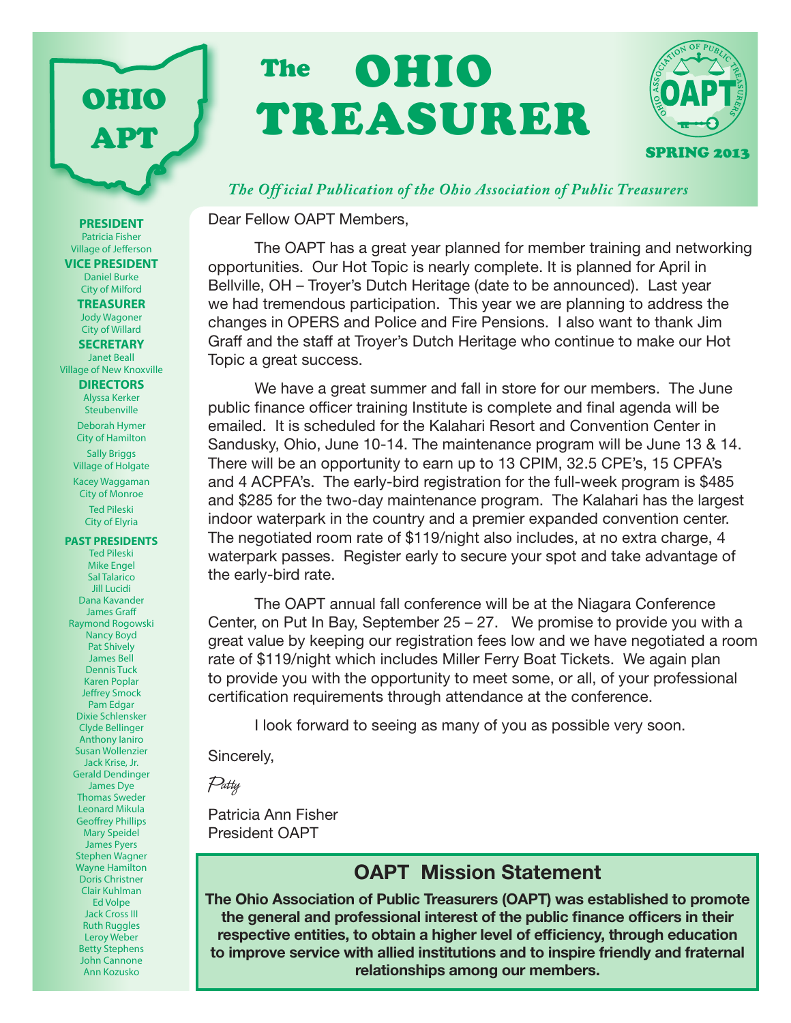# OHIO TREASURER **The**



#### *The Off icial Publication of the Ohio Association of Public Treasurers*

Dear Fellow OAPT Members,

The OAPT has a great year planned for member training and networking opportunities. Our Hot Topic is nearly complete. It is planned for April in Bellville, OH – Troyer's Dutch Heritage (date to be announced). Last year we had tremendous participation. This year we are planning to address the changes in OPERS and Police and Fire Pensions. I also want to thank Jim Graff and the staff at Troyer's Dutch Heritage who continue to make our Hot Topic a great success.

We have a great summer and fall in store for our members. The June public finance officer training Institute is complete and final agenda will be emailed. It is scheduled for the Kalahari Resort and Convention Center in Sandusky, Ohio, June 10-14. The maintenance program will be June 13 & 14. There will be an opportunity to earn up to 13 CPIM, 32.5 CPE's, 15 CPFA's and 4 ACPFA's. The early-bird registration for the full-week program is \$485 and \$285 for the two-day maintenance program. The Kalahari has the largest indoor waterpark in the country and a premier expanded convention center. The negotiated room rate of \$119/night also includes, at no extra charge, 4 waterpark passes. Register early to secure your spot and take advantage of the early-bird rate.

The OAPT annual fall conference will be at the Niagara Conference Center, on Put In Bay, September  $25 - 27$ . We promise to provide you with a great value by keeping our registration fees low and we have negotiated a room rate of \$119/night which includes Miller Ferry Boat Tickets. We again plan to provide you with the opportunity to meet some, or all, of your professional certification requirements through attendance at the conference.

I look forward to seeing as many of you as possible very soon.

Sincerely,

Patty

Patricia Ann Fisher President OAPT

### OAPT Mission Statement

The Ohio Association of Public Treasurers (OAPT) was established to promote the general and professional interest of the public finance officers in their respective entities, to obtain a higher level of efficiency, through education to improve service with allied institutions and to inspire friendly and fraternal relationships among our members.

**PRESIDENT** Patricia Fisher Village of Jefferson **VICE PRESIDENT** Daniel Burke City of Milford **TREASURER** Jody Wagoner City of Willard **SECRETARY** Janet Beall Village of New Knoxville **DIRECTORS** Alyssa Kerker **Steubenville** Deborah Hymer City of Hamilton Sally Briggs Village of Holgate Kacey Waggaman City of Monroe Ted Pileski City of Elyria **PAST PRESIDENTS** Ted Pileski Mike Engel Sal Talarico Jill Lucidi Dana Kavander James Graff Raymond Rogowski Nancy Boyd Pat Shively James Bell Dennis Tuck Karen Poplar Jeffrey Smock Pam Edgar Dixie Schlensker Clyde Bellinger Anthony Ianiro Susan Wollenzier Jack Krise, Jr. Gerald Dendinger

OHIO

APT

James Dye Thomas Sweder Leonard Mikula Geoffrey Phillips Mary Speidel James Pyers Stephen Wagner Wayne Hamilton Doris Christner Clair Kuhlman Ed Volpe Jack Cross III Ruth Ruggles Leroy Weber Betty Stephens John Cannone

Ann Kozusko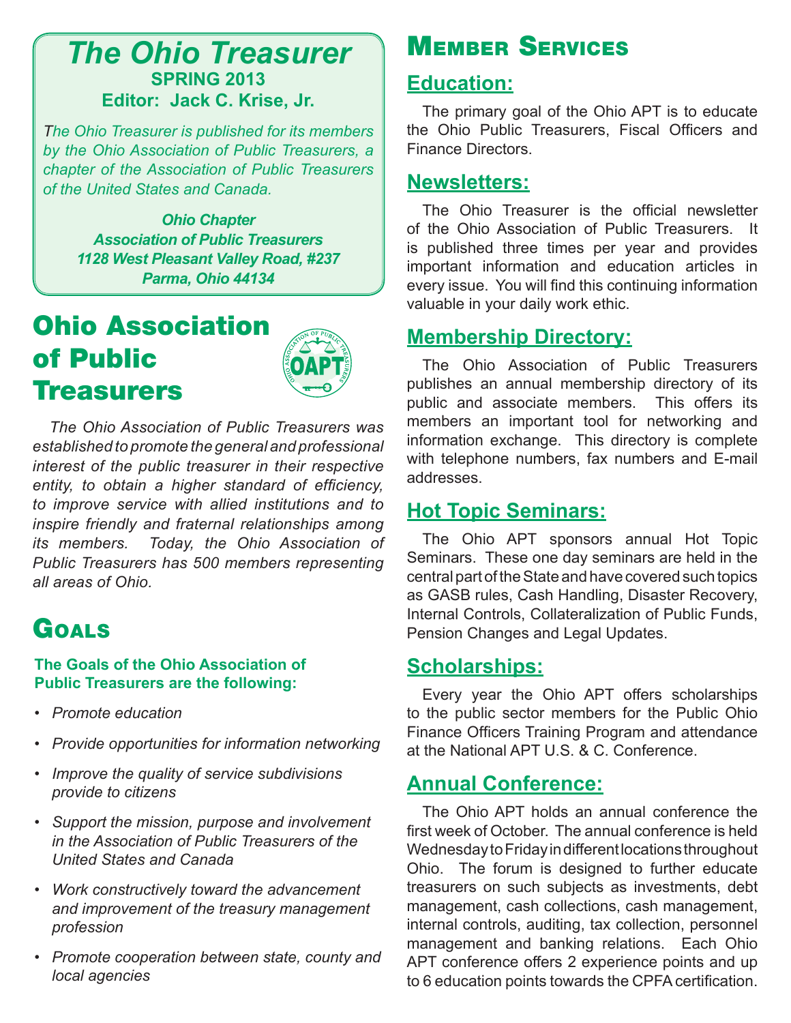## *The Ohio Treasurer* **SPRING 2013 Editor: Jack C. Krise, Jr.**

*The Ohio Treasurer is published for its members by the Ohio Association of Public Treasurers, a chapter of the Association of Public Treasurers of the United States and Canada.*

> *Ohio Chapter Association of Public Treasurers 1128 West Pleasant Valley Road, #237 Parma, Ohio 44134*

# Ohio Association of Public Treasurers



 *The Ohio Association of Public Treasurers was established to promote the general and professional interest of the public treasurer in their respective entity, to obtain a higher standard of efficiency, to improve service with allied institutions and to inspire friendly and fraternal relationships among its members. Today, the Ohio Association of Public Treasurers has 500 members representing all areas of Ohio.*

# Goals

#### **The Goals of the Ohio Association of Public Treasurers are the following:**

- *• Promote education*
- *• Provide opportunities for information networking*
- *• Improve the quality of service subdivisions provide to citizens*
- *• Support the mission, purpose and involvement in the Association of Public Treasurers of the United States and Canada*
- *• Work constructively toward the advancement and improvement of the treasury management profession*
- *• Promote cooperation between state, county and local agencies*

# Member Services

#### **Education:**

The primary goal of the Ohio APT is to educate the Ohio Public Treasurers, Fiscal Officers and Finance Directors.

### **Newsletters:**

The Ohio Treasurer is the official newsletter of the Ohio Association of Public Treasurers. It is published three times per year and provides important information and education articles in every issue. You will find this continuing information valuable in your daily work ethic.

## **Membership Directory:**

The Ohio Association of Public Treasurers publishes an annual membership directory of its public and associate members. This offers its members an important tool for networking and information exchange. This directory is complete with telephone numbers, fax numbers and E-mail addresses.

### **Hot Topic Seminars:**

The Ohio APT sponsors annual Hot Topic Seminars. These one day seminars are held in the central part of the State and have covered such topics as GASB rules, Cash Handling, Disaster Recovery, Internal Controls, Collateralization of Public Funds, Pension Changes and Legal Updates.

### **Scholarships:**

Every year the Ohio APT offers scholarships to the public sector members for the Public Ohio Finance Officers Training Program and attendance at the National APT U.S. & C. Conference.

### **Annual Conference:**

The Ohio APT holds an annual conference the first week of October. The annual conference is held Wednesday to Friday in different locations throughout Ohio. The forum is designed to further educate treasurers on such subjects as investments, debt management, cash collections, cash management, internal controls, auditing, tax collection, personnel management and banking relations. Each Ohio APT conference offers 2 experience points and up to 6 education points towards the CPFA certification.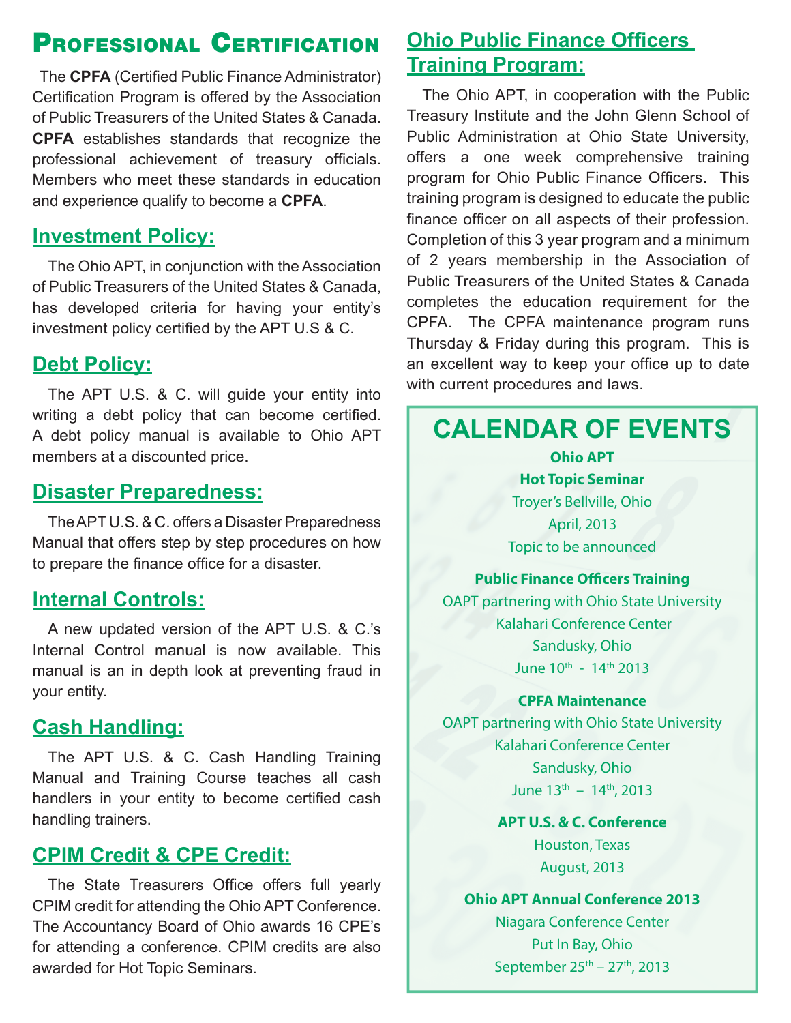# Professional Certification

 The **CPFA** (Certified Public Finance Administrator) Certification Program is offered by the Association of Public Treasurers of the United States & Canada. **CPFA** establishes standards that recognize the professional achievement of treasury officials. Members who meet these standards in education and experience qualify to become a **CPFA**.

### **Investment Policy:**

The Ohio APT, in conjunction with the Association of Public Treasurers of the United States & Canada, has developed criteria for having your entity's investment policy certified by the APT U.S & C.

### **Debt Policy:**

The APT U.S. & C. will guide your entity into writing a debt policy that can become certified. A debt policy manual is available to Ohio APT members at a discounted price.

#### **Disaster Preparedness:**

The APT U.S. & C. offers a Disaster Preparedness Manual that offers step by step procedures on how to prepare the finance office for a disaster.

### **Internal Controls:**

A new updated version of the APT U.S. & C.'s Internal Control manual is now available. This manual is an in depth look at preventing fraud in your entity.

## **Cash Handling:**

The APT U.S. & C. Cash Handling Training Manual and Training Course teaches all cash handlers in your entity to become certified cash handling trainers.

### **CPIM Credit & CPE Credit:**

The State Treasurers Office offers full yearly CPIM credit for attending the Ohio APT Conference. The Accountancy Board of Ohio awards 16 CPE's for attending a conference. CPIM credits are also awarded for Hot Topic Seminars.

## **Ohio Public Finance Officers Training Program:**

The Ohio APT, in cooperation with the Public Treasury Institute and the John Glenn School of Public Administration at Ohio State University, offers a one week comprehensive training program for Ohio Public Finance Officers. This training program is designed to educate the public finance officer on all aspects of their profession. Completion of this 3 year program and a minimum of 2 years membership in the Association of Public Treasurers of the United States & Canada completes the education requirement for the CPFA. The CPFA maintenance program runs Thursday & Friday during this program. This is an excellent way to keep your office up to date with current procedures and laws.

# **CALENDAR OF EVENTS**

**Ohio APT Hot Topic Seminar** Troyer's Bellville, Ohio April, 2013 Topic to be announced

#### **Public Finance Officers Training**

OAPT partnering with Ohio State University Kalahari Conference Center Sandusky, Ohio June 10th - 14th 2013

#### **CPFA Maintenance**

OAPT partnering with Ohio State University Kalahari Conference Center Sandusky, Ohio June  $13^{th} - 14^{th}$ , 2013

> **APT U.S. & C. Conference** Houston, Texas August, 2013

#### **Ohio APT Annual Conference 2013**

Niagara Conference Center Put In Bay, Ohio September  $25^{th}$  –  $27^{th}$ , 2013